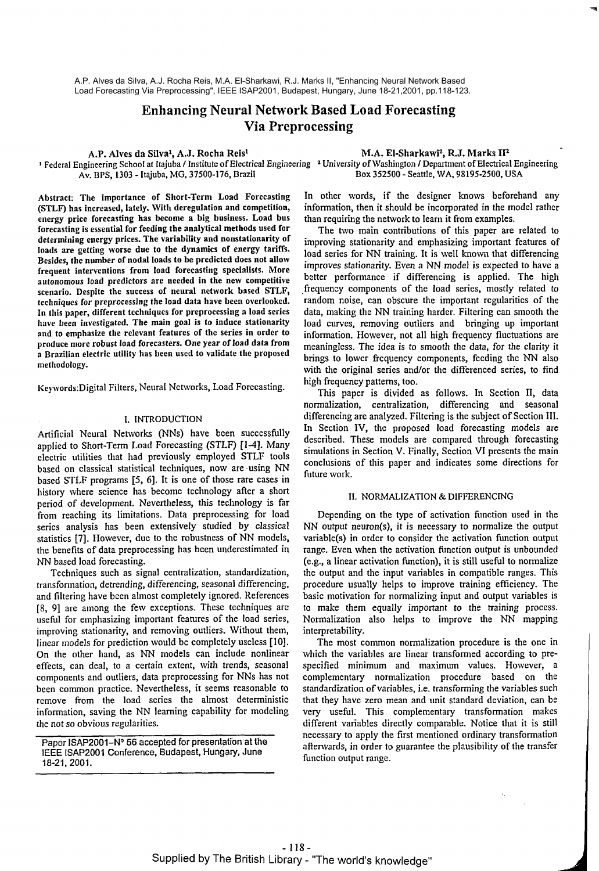# **Enhancing Neural Network Based Load Forecasting Via Preprocessing**

A.P. Alves da Silval, A.J. Rocha Reis1 M.A. El-Sharkawiz, R.J. Marks **112** 

**<sup>1</sup>**Federal Engineering School at Itajuba / Institute of Electrical Engineering University of Washington / Department of Electrical Engineering Box 352500 - Seattle, WA, 98195-2500, USA

Abstract: The importance of Short-Term Load Forecasting **(STLF)** has increased, lately. With deregulation and competition, energy price forecasting has become a big business. Load bus forecasting is essential for feeding the analytical methods used for determining energy prices. The variability and nonstationarity of loads are getting worse due to the dynamics **of** energy tariffs. Besides, the number of nodal loads **to** be predicted does not allow frequent interventions from load forecasting specialists. More autonomous load predictors are needed in the new competitive scenario. Despite the success of neural network based STLF, techniques for preprocessing the load data have been overlooked. In this paper, different techniques for preprocessing a load series have been investigated. The main goal is to induce stationarity and to emphasize the relevant features of the series in order to produce more robust load forecasters. One year of load data from a Brazilian electric utility has been used to validate the proposed methodology.

Keywords: Digital Filters, Neural Networks, Load Forecasting.

### I. INTRODUCTION

Artificial Neural Networks (NNs) have been successfully applied to Short-Term Load Forecasting (STLF) **[1-4].** Many electric utilities that had previously employed STLF tools based on classical statistical techniques, now are .using NN based STLF programs [5, **61.** It is one of those rare cases in history where science has become technology after a short period of development. Nevertheless, this technology is far from reaching its limitations. Data preprocessing for load series analysis has been extensively studied by classical statistics **[7].** However, due to the robustness of NN models, the benefits of data preprocessing has been underestimated in NN based load forecasting.

Techniques such as signal centralization, standardization, transfonnation, detrending, differencing, seasonal differencing, and filtering have been almost completely ignored. References [8, **91** are among the few exceptions. These techniques are useful for emphasizing important features of the load series, improving stationarity, and removing outliers. Without them, linear models for prediction would be completely useless **[lo].**  On the other hand, as NN models can include nonlinear effects, can deal, to a certain extent, with trends, seasonal components and outliers, data preprocessing for NNs has not been common practice. Nevertheless, it seems reasonable to remove from the load series the almost deterministic information, saving the NN learning capability for modeling the not so obvious regularities.

Paper ISAP2001-N° 56 accepted for presentation at the IEEE ISAP2001 Conference, Budapest, Hungary, June 18-21,2001.

In other words, if the designer knows beforehand any information, then it should be incorporated in the model rather than requiring the network to learn it from examples.

The two main contributions of this paper are related to improving stationarity and emphasizing important features of load series for NN training. It is well known that differencing improves stationarity. Even a NN model is expected to have a better performance if differencing is applied. The high .frequency components of the load series, mostly related to random noise, can obscure the important regularities of the data, making the NN training harder. Filtering can smooth the load curves, removing outliers and bringing up important information. However, not all high frequency fluctuations are meaningless. The idea is to smooth the data, for the clarity it brings to lower frequency components, feeding the NN also with the original series and/or the differenced series, to find high frequency patterns, too.

This paper is divided as follows. In Section 11, data normalization, centralization, differencing and seasonal differencing are analyzed. Filtering is the subject of Section 111. In Section IV, the proposed load forecasting models are described. These models are compared through forecasting simulations in Section V. Finally, Section **VI** presents the main conclusioris of this paper and indicates some directions for future work.

### 11. NORMALIZATION & DIFFERENCING

Depending on the type of activation function used in the NN output neuron(s), it is necessary to normalize the output variable(s) in order to consider the activation function output range. Even when the activation function output is unbounded (e.g., a linear activation hnction), it is still useful to normalize the output and the input variables in compatible ranges. This procedure usually helps to improve training efficiency. The basic motivation for normalizing input and output variables is to make them equally important to the training process. Normalization also helps to improve the NN mapping interpretability.

The most common normalization procedure is the one in which the variables are linear transformed according to prespecified minimum and maximum values. However, a complementary normalization procedure based on the standardization of variables, i.e. transforming the variables such that they have zero mean and unit standard deviation, can be very useful. This complementary transformation makes different variables directly comparable. Notice that it is still necessary to apply the first mentioned ordinary transformation aftenvards, in order to guarantee the plausibility of the transfer function output range.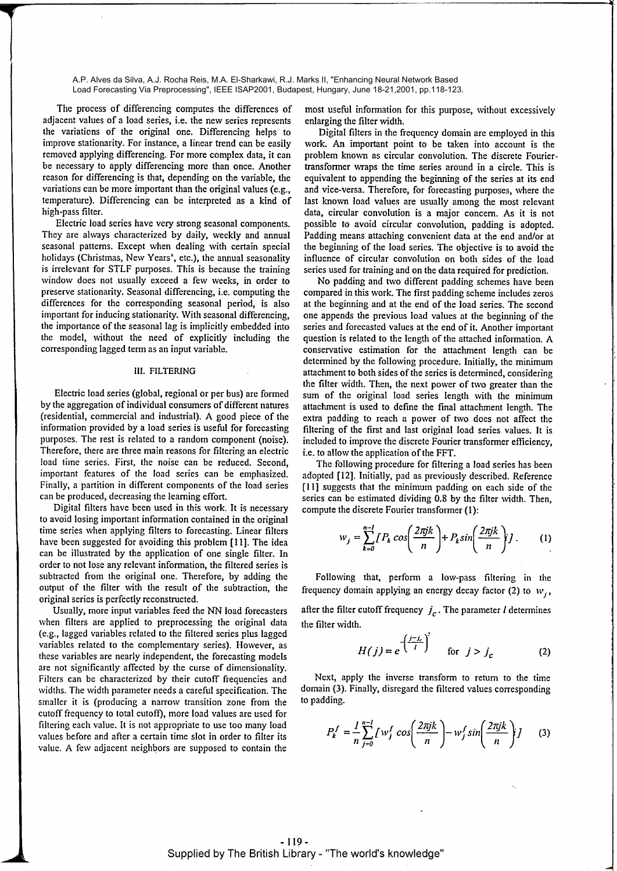The process of differencing computes the differences of adjacent values of a load series, i.e. the new series represents the variations of the original one. Differencing helps to improve stationarity. For instance, a linear trend can be easily removed applying differencing. For more complex data, it can be necessary to apply differencing more than once. Another reason for differencing is that, depending on the variable, the variations can be more important than the original values (e.g., temperature). Differencing can be interpreted as a kind of high-pass filter.

Electric load series have very strong seasonal components. They are always characterized by daily, weekly and annual seasonal patterns. Except when dealing with certain special holidays (Christmas, New Years', etc.), the annual seasonality is irrelevant for STLF purposes. This is because the training window does not usually exceed a few weeks, in order to preserve stationarity. Seasonal differencing, i.e. computing the differences for the corresponding seasonal period, is also important for inducing stationarity. With seasonal differencing, the importance of the seasonal lag is implicitly embedded into the model, without the need of explicitly including the corresponding lagged term as an input variable.

## **111. FILTERING**

Electric load series (global, regional or per bus) are formed by the aggregation of individual consumers of different natures (residential, commercial and industrial). A good piece of the information provided by a load series is usehl for forecasting purposes. The rest is related to a random component (noise). Therefore, there are three main reasons for filtering an electric load time series. First, the noise can be reduced. Second, important features of the load series can be emphasized. Finally, a partition in different components of the load series can be produced, decreasing the learning effort.

Digital filters have been used in this work. It is necessary to avoid losing important information contained in the original time series when applying filters to forecasting. Linear filters have been suggested for avoiding this problem [I **I].** The idea can be illustrated by the application of one single filter. In order to not lose any relevant information, the filtered series is subtracted from the original one. Therefore, by adding the output of the filter with the result of the subtraction, the original series is perfectly reconstructed.

Usually, more input variables feed the NN load forecasters when filters are applied to preprocessing the original data (e.g., lagged variables related to the filtered series plus lagged variables related to the complementary series). However, as these variables are nearly independent, the forecasting models are not significantly affected by the curse of dimensionality. Filters can be characterized by their cutoff frequencies and widths. The width parameter needs a careful specification. The smaller it is (producing a narrow transition zone from the cutoff frequency to total cutoff), more load values are used for filtering each value. It is not appropriate to use too many load values before and after a certain time slot in order to filter its value. **A** few adjacent neighbors are supposed to contain the

most usehl information for this purpose, without excessively enlarging the filter width.

Digital filters in the frequency domain are employed in this work. **An** important point to be taken into account is the problem known as circular convolution. The discrete Fouriertransformer wraps the time series around in a circle. This is equivalent to appending the beginning of the series at its end and vice-versa. Therefore, for forecasting purposes, where the last known load values are usually among the most relevant data, circular convolution is a major concern. As it is not possible to avoid circular convolution, padding is adopted. Padding means attaching convenient data at the end and/or at the beginning of the load series. The objective is to avoid the influence of circular convolution on both sides of the load series used for training and on the data required for prediction.

No padding and two different padding schemes have been compared in this work. The first padding scheme includes zeros at the beginning and at the end of the load series. The second one appends the previous load values at the beginning of the series and forecasted values at the end of it. Another important question is related to the length of the attached information. A conservative estimation for the attachment length can be determined by the following procedure. Initially, the minimum attachment to both sides of the series is determined, considering the filter width. Then, the next power of two greater than the sum of the original load series length with the minimum attachment is used to define the final attachment length. The extra padding to reach a power of two does not affect the filtering of the first and last original load series values. It is included to improve the discrete Fourier transformer efficiency, i.e. to allow the application of the FFT.

The following procedure for filtering a load series has been adopted [12]. Initially, pad as previously described. Reference [11] suggests that the minimum padding on each side of the series can be estimated dividing 0.8 by the filter width. Then, compute the discrete Fourier transformer (I):

$$
w_j = \sum_{k=0}^{n-1} \left\{ P_k \cos\left(\frac{2\pi jk}{n}\right) + P_k \sin\left(\frac{2\pi jk}{n}\right) \right\}.
$$
 (1)

Following that, perform a low-pass filtering in the frequency domain applying an energy decay factor (2) to  $W_i$ ,

after the filter cutoff frequency  $j_c$ . The parameter *l* determines the filter width.

$$
H(j) = e^{-\left(\frac{j-j_c}{l}\right)}
$$
 for  $j > j_c$  (2)

Next, apply the inverse transform to return to the time domain (3). Finally, disregard the filtered values corresponding to padding.

ext, apply the inverse transform to return to the time  
\nn (3). Finally, disregard the filtered values corresponding  
\nding.  
\n
$$
P_k^f = \frac{1}{n} \sum_{j=0}^{n-1} \int w_j^f \cos\left(\frac{2\pi jk}{n}\right) - w_j^f \sin\left(\frac{2\pi jk}{n}\right) j \qquad (3)
$$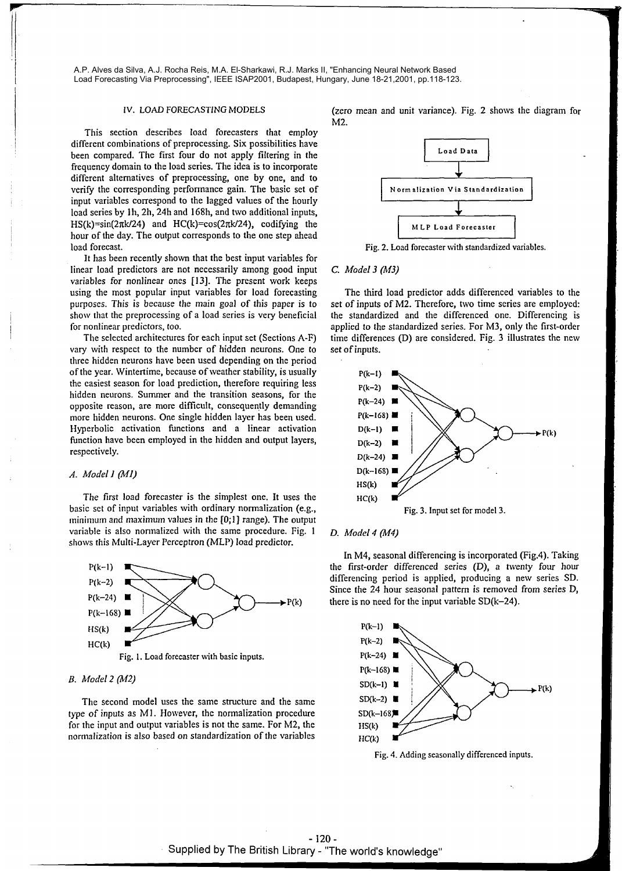This section describes load forecasters that employ different combinations of preprocessing. Six possibilities have been compared. The first four do not apply filtering in the **Load Data** *Load Data Load Data* frequency domain to the load series. The idea is to incorporate different alternatives of preprocessing, one by one, and to verify the corresponding performance gain. The basic set of **Normalization Via Standardization** input variables correspond to the lagged values of the hourly load series by 1h, 2h, 24h and 168h, and two additional inputs, HS(k)=sin(2 $\pi$ k/24) and HC(k)=cos(2 $\pi$ k/24), codifying the MLP Load Forecaster hour of the day. The output corresponds to the one step ahead load forecast.

It has been recently shown that the best input variables for linear load predictors are not necessarily among good input *C. Model 3 (M3)*  variables for nonlinear ones **1131.** The present work keeps using the most popular input variables for load forecasting The third load predictor adds differenced variables to the purposes. This is because the main goal of this paper is to set of inputs of M2. Therefore, two time se

vary with respect to the number of hidden neurons. One to set of inputs. three hidden neurons have been used depending on the period of the year. Wintertime, because of weather stability, is usually the easiest season for load prediction, therefore requiring less hidden neurons. Summer and the transition seasons, for the opposite reason, are more difticult, consequently demanding more hidden neurons. One single hidden layer has been used. Hyperbolic activation functions and a linear activation function have been employed in the hidden and output layers, respectively.

# *A. Model I (MI)*

The first load forecaster is the simplest one. It uses the basic set of input variables with ordinary normalization (e.g., Fig. 3. Input set for model 3. minimum and maximum values in the **[0;1]** range). The output variable is also normalized with the same procedure. Fig.  $1 - D$ . *Model 4 (M4)* shows this Multi-Layer Perceptron (MLP) load predictor.



### *B. Model 2 (M2)*

The second model uses the same structure and the same type of inputs as MI. However, the normalization procedure for the input and output variables is not the same. For M2, the normalization is also based on standardization of the variables

IV. LOAD FORECASTING MODELS (zero mean and unit variance). Fig. 2 shows the diagram for M2.



Fig. 2. Load forecaster with standardized variables.

set of inputs of M2. Therefore, two time series are employed: show that the preprocessing of a load series is very beneficial the standardized and the differenced one. Differencing is for nonlinear predictors, too.<br>applied to the standardized series. For M3, only the first-order nonlinear predictors, too. applied to the standardized series. For M3, only the first-order<br>The selected architectures for each input set (Sections A-F) time differences (D) are considered. Fig. 3 illustrates the new time differences (D) are considered. Fig. 3 illustrates the new



In M4, seasonal differencing is incorporated (Fig.4). Taking the first-order differenced series (D), a hventy four hour differencing period is applied, producing a new series SD. Since the 24 hour seasonal pattern is removed from series D,  $\text{P(k)}$  there is no need for the input variable SD(k-24).



Fig. 4. Adding seasonally differenced inputs.

- **120** - Supplied by The British Library - "The world's knowledge"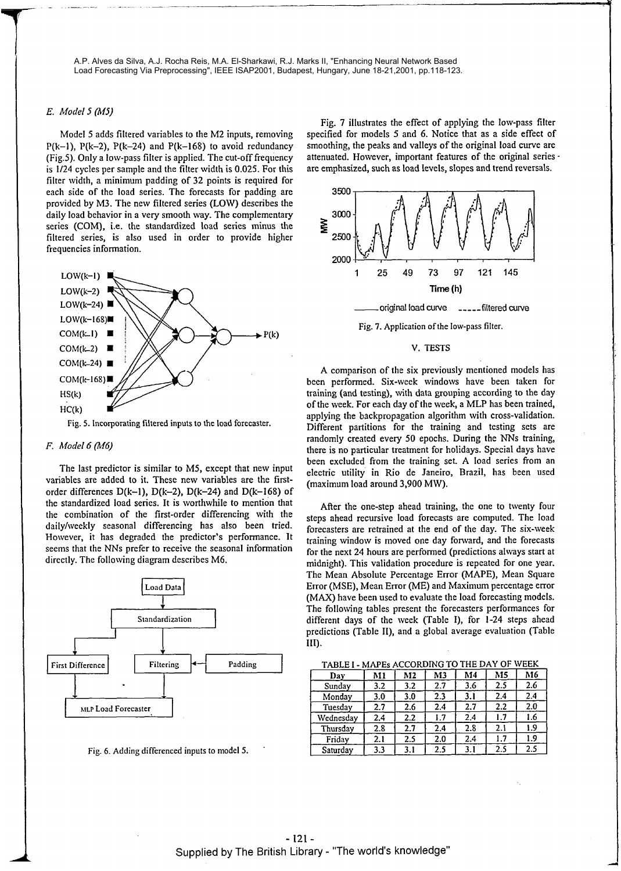### *E.* Model **5 (M5)**

Model 5 adds filtered variables to the M2 inputs, removing  $P(k-1)$ ,  $P(k-2)$ ,  $P(k-24)$  and  $P(k-168)$  to avoid redundancy (Fig.5). Only a low-pass filter is applied. The cut-off frequency is 1/24 cycles per sample and the filter width is **0.025.** For this filter width, a minimum padding of 32 points is required for each side of the load series. The forecasts for padding are provided by M3. The new filtered series (LOW) describes the daily load behavior in a very smooth way. The complementary series (COM), i.e. the standardized load series minus the filtered series, is also used in order to provide higher frequencies information.



Fig. **5.** Incorporating filtered inputs to the load forecaster.

# *F. Model 6* **(M6)**

The last predictor is similar to MS, except that new input variables are added to it. These new variables are the firstorder differences  $D(k-1)$ ,  $D(k-2)$ ,  $D(k-24)$  and  $D(k-168)$  of the standardized load series. It is worthwhile to mention that the combination of the first-order differencing with the daily/weekly seasonal differencing has also been tried. However, it has degraded the predictor's performance. It seems that the NNs prefer to receive the seasonal information dircctly. The following diagram describes M6. Filtering<br>
Internal Community of the state of the state of the state of the state of the state of the SD(k-1), D(k-2), D(k-24) and D(k-168) of<br>
Ioad series. It is worthwhile to mention that<br>
in of the first-order differen



Fig. *6.* Adding differenced inputs to model **5.** 

Fig. 7 illustrates the effect of applying the low-pass filter specified for models 5 and 6. Notice that as a side effect of smoothing, the peaks and valleys of the original load curve are attenuated. However, important features of the original series are emphasized, such as load levels, slopes and trend reversals.



### V. TESTS

A comparison of the six previously mentioned models has been performed. Six-week windows have been taken for training (and testing), with data grouping according to the day of the week. For each day of the week, a MLP has been trained, applying the backpropagation algorithm with cross-validation. Different partitions for the training and testing sets are randomly created every **50** epochs. During the NNs training, there is no particular treatment for holidays. Special days have been excluded fiom the training set. **A** load series From an electric utility in Rio de Janeiro, Brazil, has been used (maximum load around **3,900** MW).

After the one-step ahead training, the one to twenty four steps ahead recursive load forecasts are computed. The load forecasters are retrained at the end of the day. The six-week training window is moved one day fonvard, and the forecasts for the next 24 hours are performed (predictions always start at midnight). This validation procedure is repeated for one year. The Mean Absolute Percentage Error (MAPE), Mean Square Error (MSE), Mean Error (ME) and Maximum percentage error (MAX) have been used to evaluate the load forecasting models. The following tables present the forecasters performances for different days of the week (Table I), for 1-24 steps ahead predictions (Table II), and a global average evaluation (Table 111).

**ACCORDING TO THE** DAY **OF WEEK** 

| TADLET - MATES ACCORDING TO THE PATT OF<br>. |     |                |     |     |     |     |
|----------------------------------------------|-----|----------------|-----|-----|-----|-----|
| Day                                          | M1  | M <sub>2</sub> | M3  | M4  | M5  | M6  |
| Sunday                                       | 3.2 | 3.2            | 2.7 | 3.6 | 2.5 | 2.6 |
| Monday                                       | 3.0 | 3.0            | 2.3 | 3.1 | 2.4 | 2.4 |
| Tuesday                                      | 2.7 | 2.6            | 2.4 | 2.7 | 2.2 | 2.0 |
| Wednesday                                    | 2.4 | 2.2            | 1.7 | 2.4 | 1.7 | 1.6 |
| Thursday                                     | 2.8 | 2.7            | 2.4 | 2.8 | 2.1 | 1.9 |
| Friday                                       | 2.1 | 2.5            | 2.0 | 2.4 | 1.7 | 1.9 |
| Saturday                                     | 3.3 | 3.1            | 2.5 | 3.1 | 2.5 | 2.5 |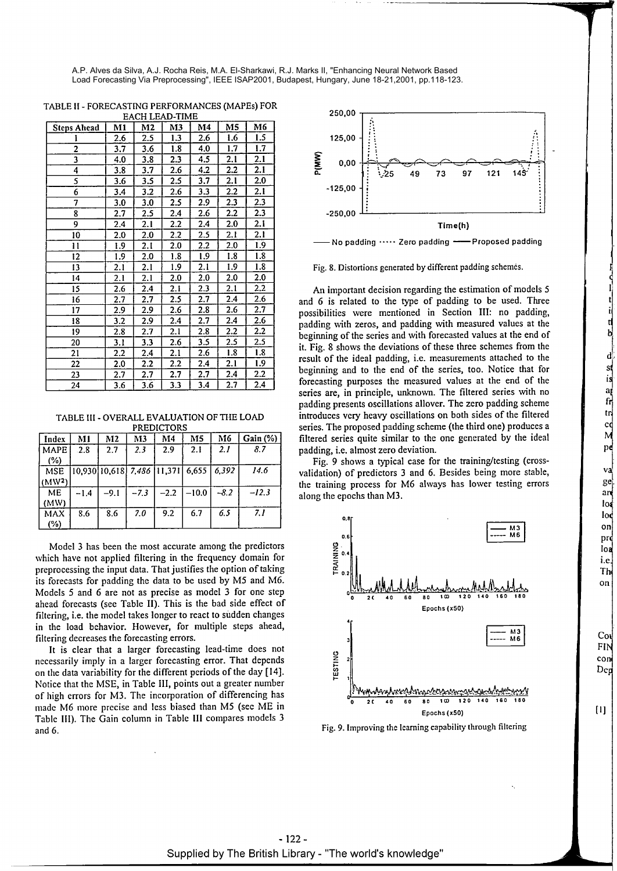| <b>Steps Ahead</b> | M1  | M2  | M3  | M4      | M5      | M6      |  |  |
|--------------------|-----|-----|-----|---------|---------|---------|--|--|
|                    | 2.6 | 2.5 | 1.3 | 2.6     | 1.6     | 1.5     |  |  |
| $\overline{c}$     | 3.7 | 3.6 | 1.8 | 4.0     | 1.7     | 1.7     |  |  |
| 3                  | 4.0 | 3.8 | 2.3 | 4.5     | 2.1     | 2.1     |  |  |
| 4                  | 3.8 | 3.7 | 2.6 | 4.2     | 2.2     | 2.1     |  |  |
| 5                  | 3.6 | 3.5 | 2.5 | 3.7     | 2.1     | 2.0     |  |  |
| 6                  | 3.4 | 3.2 | 2.6 | 3.3     | 2.2     | 2.1     |  |  |
| 7                  | 3.0 | 3.0 | 2.5 | 2.9     | 2.3     | 2.3     |  |  |
| 8                  | 2.7 | 2.5 | 2.4 | 2.6     | $2.2\,$ | 2.3     |  |  |
| 9                  | 2.4 | 2.1 | 2.2 | 2.4     | 2.0     | 2.1     |  |  |
| 10                 | 2.0 | 2.0 | 2.2 | $2.5\,$ | 2.1     | 2.1     |  |  |
| 11                 | 1.9 | 2.1 | 2.0 | $2.2\,$ | 2.0     | 1.9     |  |  |
| 12                 | 1.9 | 2.0 | 1.8 | 1.9     | 1.8     | 1.8     |  |  |
| 13                 | 2.1 | 2.1 | 1.9 | 2.1     | 1.9     | 1.8     |  |  |
| 14                 | 2.1 | 2.1 | 2.0 | 2.0     | 2.0     | 2.0     |  |  |
| 15                 | 2.6 | 2.4 | 2.1 | 2.3     | 2.1     | 2.2     |  |  |
| 16                 | 2.7 | 2.7 | 2.5 | 2.7     | 2.4     | 2.6     |  |  |
| 17                 | 2.9 | 2.9 | 2.6 | 2.8     | 2.6     | 2.7     |  |  |
| 18                 | 3.2 | 2.9 | 2.4 | 2.7     | 2.4     | 2.6     |  |  |
| 19                 | 2.8 | 2.7 | 2.1 | 2.8     | 2.2     | $2.2\,$ |  |  |
| 20                 | 3.1 | 3.3 | 2.6 | 3.5     | 2.5     | 2.5     |  |  |
| 21                 | 2.2 | 2.4 | 2.1 | 2.6     | 1.8     | 1.8     |  |  |
| 22                 | 2.0 | 2.2 | 2.2 | 2.4     | 2.1     | 1.9     |  |  |
| 23                 | 2.7 | 2.7 | 2.7 | 2.7     | 2.4     | 2.2     |  |  |
| 24                 | 3.6 | 3.6 | 3.3 | 3.4     | 2.7     | 2.4     |  |  |

TABLE I1 - FORECASTING PERFORMANCES (MAPEs) FOR

TABLE 111 - OVERALL EVALUATION OF THE LOAD **PREDICTORS** 

| Index              | M1     | M2                                                                   | M <sub>3</sub> | M <sub>4</sub> | M <sub>5</sub> | M6     | Gain(%) |
|--------------------|--------|----------------------------------------------------------------------|----------------|----------------|----------------|--------|---------|
| <b>MAPE</b>        | 2.8    | 2.7                                                                  | 2.3            | 2.9            | 2.1            | 2.1    | 8.7     |
| (%)                |        |                                                                      |                |                |                |        |         |
| <b>MSE</b>         |        | $\left[10,930\right]$ $10,618$ $7,486$ $\left[11,371\right]$ $6,655$ |                |                |                | 6.392  | 14.6    |
| (MW <sup>2</sup> ) |        |                                                                      |                |                |                |        |         |
| ME                 | $-1.4$ | $-9.1$                                                               | $-7.3$         | $-2.2$         | $-10.0$        | $-8.2$ | $-12.3$ |
| (MW)               |        |                                                                      |                |                |                |        |         |
| <b>MAX</b>         | 8.6    | 8.6                                                                  | 7.0            | 9.2            | 6.7            | 6.5    | 7.1     |
| (%)                |        |                                                                      |                |                |                |        |         |

Model 3 has been the most accurate among the predictors which have not applied filtering in the frequency domain for preprocessing the input data. That justifies the option of taking its forecasts for padding the data to be used by M5 and M6. Models 5 and *6* are not as precise as model 3 for one step ahead forecasts (see Table 11). This is the bad side effect of filtering, i.e. the model takes longer to react to sudden changes in the load behavior. However, for multiple steps ahead, filtering decreases the forecasting errors.

It is clear that a larger forecasting lead-time does not necessarily imply in a larger forecasting error. That depends on the data variability for the different periods of the day [14]. Notice that the MSE, in Table 111, points out a greater number of high errors for M3. The incorporation of differencing has made M6 more precise and less biased than M5 (see ME in Table 111). The Gain column in Table I11 compares models 3 and 6.



No padding  $\cdots$  Zero padding  $\longleftarrow$  Proposed padding

Fig. 8. Distortions generated by different padding schemes.

**An** important decision regarding the estimation of models **5**  and *6* is related to the type of padding to be used. Three possibilities were mentioned in Section 111: no padding, padding with zeros, and padding with measured values at the beginning of the series and with forecasted values at the end of it. Fig. 8 shows the deviations of these three schemes from the result of the ideal padding, i.e. measurements attached to the beginning and to the end of the series, too. Notice that for forecasting purposes the measured values at the end of the series are, in principle, unknown. The filtered series with no padding presents oscillations allover. The zero padding scheme introduces very heavy oscillations on both sides of the filtered series. The proposed padding scheme (the third one) produces a filtered series quite similar to the one generated by the ideal padding, i.e. almost zero deviation.

Fig. 9 shows a typical case for the training/testing (crossvalidation) of predictors 3 and *6.* Besides being more stable, the training process for M6 always has lower testing errors along the epochs than M3.



Fig. **9.** Improving the learning capability through filtering